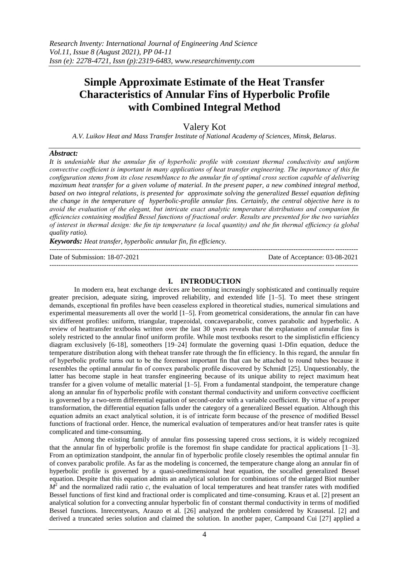# **Simple Approximate Estimate of the Heat Transfer Characteristics of Annular Fins of Hyperbolic Profile with Combined Integral Method**

Valery Kot

*A.V. Luikov Heat and Mass Transfer Institute of National Academy of Sciences, Minsk, Belarus.*

# *Abstract:*

*It is undeniable that the annular fin of hyperbolic profile with constant thermal conductivity and uniform convective coefficient is important in many applications of heat transfer engineering. The importance of this fin configuration stems from its close resemblance to the annular fin of optimal cross section capable of delivering maximum heat transfer for a given volume of material. In the present paper, a new combined integral method, based on two integral relations, is presented for approximate solving the generalized Bessel equation defining the change in the temperature of hyperbolic-profile annular fins. Certainly, the central objective here is to avoid the evaluation of the elegant, but intricate exact analytic temperature distributions and companion fin efficiencies containing modified Bessel functions of fractional order. Results are presented for the two variables of interest in thermal design: the fin tip temperature (a local quantity) and the fin thermal efficiency (a global quality ratio).*

*Keywords: Heat transfer, hyperbolic annular fin, fin efficiency.*

---------------------------------------------------------------------------------------------------------------------------------------

Date of Submission: 18-07-2021 Date of Acceptance: 03-08-2021

# **I. INTRODUCTION**

---------------------------------------------------------------------------------------------------------------------------------------

In modern era, heat exchange devices are becoming increasingly sophisticated and continually require greater precision, adequate sizing, improved reliability, and extended life [1–5]. To meet these stringent demands, exceptional fin profiles have been ceaseless explored in theoretical studies, numerical simulations and experimental measurements all over the world [1–5]. From geometrical considerations, the annular fin can have six different profiles: uniform, triangular, trapezoidal, concaveparabolic, convex parabolic and hyperbolic. A review of heattransfer textbooks written over the last 30 years reveals that the explanation of annular fins is solely restricted to the annular finof uniform profile. While most textbooks resort to the simplisticfin efficiency diagram exclusively [6-18], someothers [19–24] formulate the governing quasi 1-Dfin equation, deduce the temperature distribution along with theheat transfer rate through the fin efficiency. In this regard, the annular fin of hyperbolic profile turns out to be the foremost important fin that can be attached to round tubes because it resembles the optimal annular fin of convex parabolic profile discovered by Schmidt [25]. Unquestionably, the latter has become staple in heat transfer engineering because of its unique ability to reject maximum heat transfer for a given volume of metallic material [1–5]. From a fundamental standpoint, the temperature change along an annular fin of hyperbolic profile with constant thermal conductivity and uniform convective coefficient is governed by a two-term differential equation of second-order with a variable coefficient. By virtue of a proper transformation, the differential equation falls under the category of a generalized Bessel equation. Although this equation admits an exact analytical solution, it is of intricate form because of the presence of modified Bessel functions of fractional order. Hence, the numerical evaluation of temperatures and/or heat transfer rates is quite complicated and time-consuming.

Among the existing family of annular fins possessing tapered cross sections, it is widely recognized that the annular fin of hyperbolic profile is the foremost fin shape candidate for practical applications  $[1-3]$ . From an optimization standpoint, the annular fin of hyperbolic profile closely resembles the optimal annular fin of convex parabolic profile. As far as the modeling is concerned, the temperature change along an annular fin of hyperbolic profile is governed by a quasi-onedimensional heat equation, the socalled generalized Bessel equation. Despite that this equation admits an analytical solution for combinations of the enlarged Biot number  $M^2$  and the normalized radii ratio *c*, the evaluation of local temperatures and heat transfer rates with modified Bessel functions of first kind and fractional order is complicated and time-consuming. Kraus et al. [2] present an analytical solution for a convecting annular hyperbolic fin of constant thermal conductivity in terms of modified Bessel functions. Inrecentyears, Arauzo et al. [26] analyzed the problem considered by Krausetal. [2] and derived a truncated series solution and claimed the solution. In another paper, Campoand Cui [27] applied a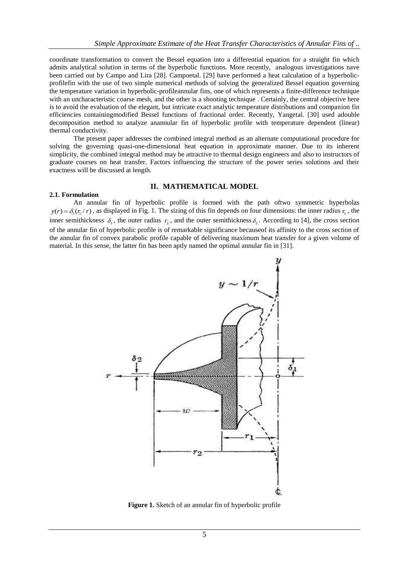coordinate transformation to convert the Bessel equation into a differential equation for a straight fin which admits analytical solution in terms of the hyperbolic functions. More recently, analogous investigations nave been carried out by Campo and Lira [28]. Campoetal. [29] have performed a heat calculation of a hyperbolicprofilefin with the use of two simple numerical methods of solving the generalized Bessel equation governing the temperature variation in hyperbolic-profileannular fins, one of which represents a finite-difference technique with an uncharacteristic coarse mesh, and the other is a shooting technique. Certainly, the central objective here is to avoid the evaluation of the elegant, but intricate exact analytic temperature distributions and companion fin efficiencies containingmodified Bessel functions of fractional order. Recently, Yangetal. [30] used adouble decomposition method to analyze anannular fin of hyperbolic profile with temperature dependent (linear) thermal conductivity.

The present paper addresses the combined integral method as an alternate computational procedure for solving the governing quasi-one-dimensional heat equation in approximate manner. Due to its inherent simplicity, the combined integral method may be attractive to thermal design engineers and also to instructors of graduate courses on heat transfer. Factors influencing the structure of the power series solutions and their exactness will be discussed at length.

### **II. MATHEMATICAL MODEL**

#### **2.1. Formulation**

An annular fin of hyperbolic profile is formed with the path oftwo symmetric hyperbolas  $y(r) = \delta_1(r_1/r)$ , as displayed in Fig. 1. The sizing of this fin depends on four dimensions: the inner radius  $r_1$ , the inner semithickness  $\delta_1$ , the outer radius  $r_2$ , and the outer semithickness  $\delta_2$ . According to [4], the cross section of the annular fin of hyperbolic profile is of remarkable significance becauseof its affinity to the cross section of the annular fin of convex parabolic profile capable of delivering maximum heat transfer for a given volume of material. In this sense, the latter fin has been aptly named the optimal annular fin in [31].



**Figure 1.** Sketch of an annular fin of hyperbolic profile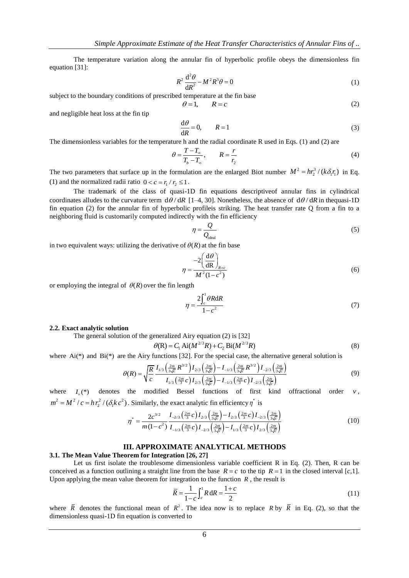The temperature variation along the annular fin of hyperbolic profile obeys the dimensionless fin equation [31]:

$$
R^2 \frac{\mathrm{d}^2 \theta}{\mathrm{d}R^2} - M^2 R^3 \theta = 0 \tag{1}
$$

subject to the boundary conditions of prescribed temperature at the fin base

$$
R = c \tag{2}
$$

and negligible heat loss at the fin tip

$$
\frac{\mathrm{d}\theta}{\mathrm{d}R} = 0, \qquad R = 1 \tag{3}
$$

The dimensionless variables for the temperature h and the radial coordinate R used in Eqs. (1) and (2) are

 $\theta$  =

$$
\theta = \frac{T - T_{\infty}}{T_b - T_{\infty}}, \qquad R = \frac{r}{r_2}
$$
\n(4)

The two parameters that surface up in the formulation are the enlarged Biot number  $M^2 = hr_2^3 / (k \delta_1 r_1)$  in Eq. (1) and the normalized radii ratio  $0 < c = r_1 / r_2 \le 1$ .

The trademark of the class of quasi-1D fin equations descriptiveof annular fins in cylindrical coordinates alludes to the curvature term  $d\theta/dR$  [1–4, 30]. Nonetheless, the absence of  $d\theta/dR$  in thequasi-1D fin equation (2) for the annular fin of hyperbolic profileis striking. The heat transfer rate Q from a fin to a neighboring fluid is customarily computed indirectly with the fin efficiency

$$
\eta = \frac{Q}{Q_{\text{ideal}}}
$$
\n(5)

in two equivalent ways: utilizing the derivative of  $\theta(R)$  at the fin base

$$
\eta = \frac{-2\left(\frac{\mathrm{d}\theta}{\mathrm{d}\mathbf{R}}\right)_{R=c}}{M^2(1-c^2)}\tag{6}
$$

or employing the integral of  $\theta(R)$  over the fin length

$$
\eta = \frac{2 \int_{c}^{1} \theta R dR}{1 - c^2} \tag{7}
$$

#### **2.2. Exact analytic solution**

The general solution of the generalized Airy equation (2) is [32]<br>  $\theta(R) = C_1 Ai(M^{2/3}R) + C_2 Bi(M^{2/3}R)$ 

$$
\theta(R) = C_1 A i (M^{2/3} R) + C_2 B i (M^{2/3} R) \tag{8}
$$

where Ai(\*) and Bi(\*) are the Airy functions [32]. For the special case, the alternative general solution is  
\n
$$
\theta(R) = \sqrt{\frac{R}{c}} \frac{I_{1/3} \left(\frac{2m}{3\sqrt{c}} R^{3/2}\right) I_{2/3} \left(\frac{2m}{3\sqrt{c}}\right) - I_{-1/3} \left(\frac{2m}{3\sqrt{c}} R^{3/2}\right) I_{-2/3} \left(\frac{2m}{3\sqrt{c}}\right)}{I_{1/3} \left(\frac{2m}{3}c\right) I_{2/3} \left(\frac{2m}{3\sqrt{c}}\right) - I_{-1/3} \left(\frac{2m}{3\sqrt{c}}c\right) I_{-2/3} \left(\frac{2m}{3\sqrt{c}}\right)}
$$
\n(9)

where  $I_{\nu}$ <sup>(\*)</sup> denotes the modified Bessel functions of first kind offractional order  $\nu$ ,  $m^2 = M^2 / c = h r_2^2 / (\delta_1 k c^2)$ . Similarly, the exact analytic fin efficientcy  $\eta^*$  is<br>  $r^* = \frac{2c^{3/2}}{1 - 2/3} \left(\frac{2m}{3\sqrt{c}}c\right) I_{2/3} \left(\frac{2m}{3\sqrt{c}}\right) - I_{2/3} \left(\frac{2m}{3\sqrt{c}}c\right) I_{-2/3} \left(\frac{2m}{3\sqrt{c}}c\right)$ 

$$
\eta^* = \frac{2c^{3/2}}{m(1-c^2)} \frac{I_{-2/3}\left(\frac{2m}{3}c\right)I_{2/3}\left(\frac{2m}{3\sqrt{c}}\right) - I_{2/3}\left(\frac{2m}{3}c\right)I_{-2/3}\left(\frac{2m}{3\sqrt{c}}\right)}{I_{-1/3}\left(\frac{2m}{3}c\right)I_{-2/3}\left(\frac{2m}{3\sqrt{c}}\right) - I_{1/3}\left(\frac{2m}{3}c\right)I_{2/3}\left(\frac{2m}{3\sqrt{c}}\right)}
$$
(10)

#### **III. APPROXIMATE ANALYTICAL METHODS**

## **3.1. The Mean Value Theorem for Integration [26, 27]**

Let us first isolate the troublesome dimensionless variable coefficient R in Eq. (2). Then, R can be conceived as a function outlining a straight line from the base  $R = c$  to the tip  $R = 1$  in the closed interval [c,1]. Upon applying the mean value theorem for integration to the function  $R$ , the result is

$$
\overline{R} = \frac{1}{1 - c} \int_{c}^{1} R \, dR = \frac{1 + c}{2}
$$
\n(11)

where  $\overline{R}$  denotes the functional mean of  $R^2$ . The idea now is to replace R by  $\overline{R}$  in Eq. (2), so that the dimensionless quasi-1D fin equation is converted to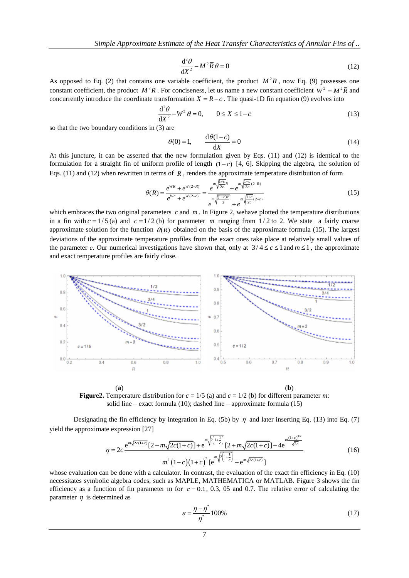$$
\frac{\mathrm{d}^2 \theta}{\mathrm{d}X^2} - M^2 \overline{R} \theta = 0 \tag{12}
$$

As opposed to Eq. (2) that contains one variable coefficient, the product  $M^2R$ , now Eq. (9) possesses one constant coefficient, the product  $M^2 \overline{R}$ . For conciseness, let us name a new constant coefficient  $W^2 = M^2 \overline{R}$  and concurrently introduce the coordinate transformation  $X = R - c$ . The quasi-1D fin equation (9) evolves into

$$
\frac{\mathrm{d}^2 \theta}{\mathrm{d}X^2} - W^2 \theta = 0, \qquad 0 \le X \le 1 - c \tag{13}
$$

so that the two boundary conditions in (3) are

$$
\theta(0) = 1, \qquad \frac{\mathrm{d}\theta(1-c)}{\mathrm{d}X} = 0 \tag{14}
$$

At this juncture, it can be asserted that the new formulation given by Eqs. (11) and (12) is identical to the formulation for a straight fin of uniform profile of length  $(1-c)$  [4, 6]. Skipping the algebra, the solution of Eqs. (11) and (12) when rewritten in terms of R, renders the approximate temperature distribution of form

$$
\theta(R) = \frac{e^{WR} + e^{W(2-R)}}{e^{Wc} + e^{W(2-c)}} = \frac{e^m \sqrt{\frac{1+c}{2c}} R + e^m \sqrt{\frac{1+c}{2c}(2-R)}}{e^m \sqrt{\frac{(1+c)c}{2c}} + e^m \sqrt{\frac{1+c}{2c}(2-c)}} \tag{15}
$$

which embraces the two original parameters  $c$  and  $m$ . In Figure 2, wehave plotted the temperature distributions in a fin with  $c = 1/5$  (a) and  $c = 1/2$  (b) for parameter m ranging from  $1/2$  to 2. We state a fairly coarse approximate solution for the function  $\theta(R)$  obtained on the basis of the approximate formula (15). The largest deviations of the approximate temperature profiles from the exact ones take place at relatively small values of the parameter *c*. Our numerical investigations have shown that, only at  $3/4 \le c \le 1$  and  $m \le 1$ , the approximate and exact temperature profiles are fairly close.



**Figure2.** Temperature distribution for  $c = 1/5$  (a) and  $c = 1/2$  (b) for different parameter *m*: solid line – exact formula (10); dashed line – approximate formula (15)

Designating the fin efficiency by integration in Eq. (5b) by  $\eta$  and later inserting Eq. (13) into Eq. (7) yield the approximate expression [27]

te expression [27]  
\n
$$
\eta = 2c \frac{e^{m\sqrt{2c(1+c)}}[2-m\sqrt{2c(1+c)}]+e^{m\sqrt{2(1+c)}}[2+m\sqrt{2c(1+c)}]-4e^{m\frac{(1+c)^{3/2}}{\sqrt{2c}}}}{m^2(1-c)(1+c)^2[e^{m\sqrt{2(1+c)}}]+e^{m\sqrt{2c(1+c)}}]}
$$
\n(16)

whose evaluation can be done with a calculator. In contrast, the evaluation of the exact fin efficiency in Eq. (10) necessitates symbolic algebra codes, such as MAPLE, MATHEMATICA or MATLAB. Figure 3 shows the fin efficiency as a function of fin parameter m for  $c = 0.1, 0.3, 0.5$  and 0.7. The relative error of calculating the parameter  $\eta$  is determined as

$$
\varepsilon = \frac{\eta - \eta^*}{\eta^*} 100\% \tag{17}
$$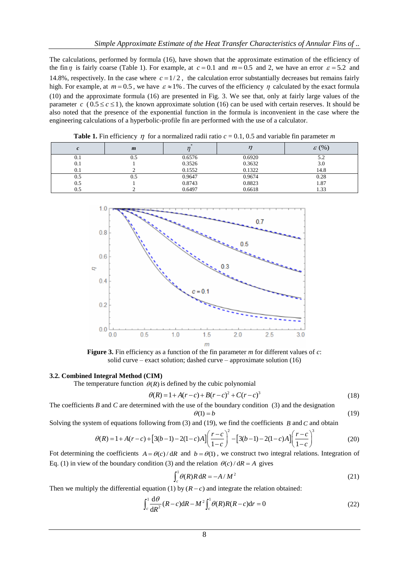The calculations, performed by formula (16), have shown that the approximate estimation of the efficiency of the fin  $\eta$  is fairly coarse (Table 1). For example, at  $c = 0.1$  and  $m = 0.5$  and 2, we have an error  $\varepsilon = 5.2$  and 14.8%, respectively. In the case where  $c = 1/2$ , the calculation error substantially decreases but remains fairly high. For example, at  $m = 0.5$ , we have  $\varepsilon \approx 1\%$ . The curves of the efficiency  $\eta$  calculated by the exact formula (10) and the approximate formula (16) are presented in Fig. 3. We see that, only at fairly large values of the parameter  $c$  ( $0.5 \le c \le 1$ ), the known approximate solution (16) can be used with certain reserves. It should be also noted that the presence of the exponential function in the formula is inconvenient in the case where the engineering calculations of a hyperbolic-profile fin are performed with the use of a calculator.

| --<br>__ |                  |        |        |                   |  |
|----------|------------------|--------|--------|-------------------|--|
|          | $\boldsymbol{m}$ |        |        | $\varepsilon$ (%) |  |
| 0.1      | U.5              | 0.6576 | 0.6920 | 5.2               |  |
| 0.1      |                  | 0.3526 | 0.3632 | 3.0               |  |
| 0.1      |                  | 0.1552 | 0.1322 | 14.8              |  |
| 0.5      | U.5              | 0.9647 | 0.9674 | 0.28              |  |
| 0.5      |                  | 0.8743 | 0.8823 | 1.87              |  |
| 0.5      |                  | 0.6497 | 0.6618 | 1.33              |  |

**Table 1.** Fin efficiency  $\eta$  for a normalized radii ratio  $c = 0.1$ , 0.5 and variable fin parameter *m* 



**Figure 3.** Fin efficiency as a function of the fin parameter *m* for different values of *c*: solid curve – exact solution; dashed curve – approximate solution (16)

#### **3.2. Combined Integral Method (CIM)**

The temperature function  $\theta(R)$  is defined by the cubic polynomial  $\theta(R) = 1 + A(r-c) + B(r-c)^2 + C(r-c)^3$ 

$$
P(R) = 1 + A(r - c) + B(r - c)^{2} + C(r - c)^{3}
$$
\n(18)

The coefficients *B* and *C* are determined with the use of the boundary condition (3) and the designation

$$
\theta(1) = b \tag{19}
$$

$$
\theta(1) = b
$$
\nSolving the system of equations following from (3) and (19), we find the coefficients *B* and *C* and obtain\n
$$
\theta(R) = 1 + A(r - c) + \left[3(b - 1) - 2(1 - c)A\right] \left(\frac{r - c}{1 - c}\right)^2 - \left[3(b - 1) - 2(1 - c)A\right] \left(\frac{r - c}{1 - c}\right)^3
$$
\n(20)

Fot determining the coefficients  $A = \theta(c)/dR$  and  $b = \theta(1)$ , we construct two integral relations. Integration of Eq. (1) in view of the boundary condition (3) and the relation  $\theta(c)/dR = A$  gives

$$
\int_{c}^{1} \theta(R) R \, \mathrm{d}R = -A/M^2 \tag{21}
$$

Then we multiply the differential equation (1) by 
$$
(R - c)
$$
 and integrate the relation obtained:  
\n
$$
\int_c^1 \frac{d\theta}{dR^2} (R - c) dR - M^2 \int_c^1 \theta(R) R(R - c) dr = 0
$$
\n(22)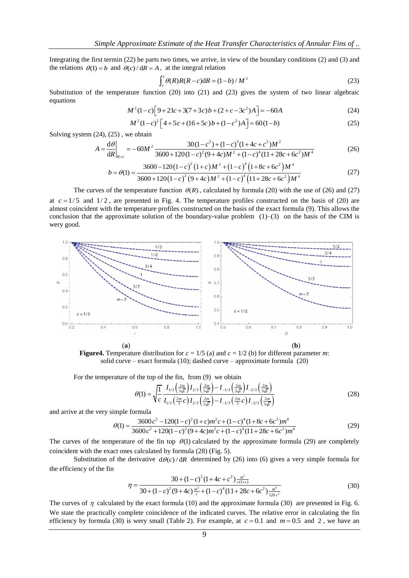Integrating the first termin (22) be parts two times, we arrive, in view of the boundary conditions (2) and (3) and the relations  $\theta(1) = b$  and  $\theta(c)/dR = A$ , at the integral relation

$$
\int_{c}^{1} \theta(R)R(R-c) dR = (1-b)/M^{2}
$$
 (23)

Substitution of the temperature function (20) into (21) and (23) gives the system of two linear algebraic equations

$$
M^{2}(1-c)[9+21c+3(7+3c)b+(2+c-3c^{2})A] = -60A
$$
 (24)

$$
M^{2}(1-c)\left[9+21c+3(7+3c)b+(2+c-3c^{2})A\right]=-60A
$$
\n
$$
M^{2}(1-c)^{2}\left[4+5c+(16+5c)b+(1-c^{2})A\right]=60(1-b)
$$
\n(25)

Solving system (24), (25) , we obtain

$$
M^{2}(1-c)^{2} \left[4+5c+(16+5c) b+(1-c^{2})A\right] = 60(1-b)
$$
\n(25)  
\n(26)  
\n(27)  
\n(28)  
\n(29)  
\n(29)  
\n(25)  
\n(29)  
\n(25)  
\n(26)  
\n
$$
A = \frac{d\theta}{dR}\Big|_{R=c} = -60M^{2} \frac{30(1-c^{2})+(1-c)^{3}(1+4c+c^{2})M^{2}}{3600+120(1-c)^{2}(9+4c)M^{2}+(1-c)^{4}(1+28c+6c^{2})M^{4}}
$$

$$
\frac{dE}{dR}\Big|_{R=c} = -60M^2 \frac{3600 + 120(1-c)^2(9+4c)M^2 + (1-c)^4(11+28c+6c^2)M^4}{3600-120(1-c)^2(1+c)M^2 + (1-c)^4(1+8c+6c^2)M^4}
$$
\n
$$
b = \theta(1) = \frac{3600 - 120(1-c)^2(1+c)M^2 + (1-c)^4(1+8c+6c^2)M^4}{3600+120(1-c)^2(9+4c)M^2 + (1-c)^4(11+28c+6c^2)M^4}
$$
\n(27)

The curves of the temperature function  $\theta(R)$ , calculated by formula (20) with the use of (26) and (27)

at  $c = 1/5$  and  $1/2$ , are presented in Fig. 4. The temperature profiles constructed on the basis of (20) are almost coincident with the temperature profiles constructed on the basis of the exact formula (9). This allows the conclusion that the approximate solution of the boundary-value problem  $(1)$ – $(3)$  on the basis of the CIM is wery good.



**Figure4.** Temperature distribution for  $c = 1/5$  (a) and  $c = 1/2$  (b) for different parameter *m*: solid curve – exact formula (10); dashed curve – approximate formula (20)

For the temperature of the top of the fin, from (9) we obtain  
\n
$$
\theta(1) = \sqrt{\frac{1}{c} \frac{I_{1/3} \left(\frac{2m}{3\sqrt{c}}\right) I_{2/3} \left(\frac{2m}{3\sqrt{c}}\right) - I_{-1/3} \left(\frac{2m}{3\sqrt{c}}\right) I_{-2/3} \left(\frac{2m}{3\sqrt{c}}\right)}}{I_{1/3} \left(\frac{2m}{3}\right) I_{2/3} \left(\frac{2m}{3\sqrt{c}}\right) - I_{-1/3} \left(\frac{2m}{3}\right) I_{-2/3} \left(\frac{2m}{3\sqrt{c}}\right)}
$$
\n(28)

and arrive at the very simple formula

$$
\text{imple formula}
$$
\n
$$
\theta(1) = \frac{3600c^2 - 120(1-c)^2(1+c)m^2c + (1-c)^4(1+8c+6c^2)m^4}{3600c^2 + 120(1-c)^2(9+4c)m^2c + (1-c)^4(1+28c+6c^2)m^4}
$$
\n(29)

The curves of the temperature of the fin top  $\theta$ (1) calculated by the approximate formula (29) are completely coincident with the exact ones calculated by formula (28) (Fig. 5).

Substitution of the derivative  $d\theta(c)/dR$  determined by (26) into (6) gives a very simple formula for the efficiency of the fin

$$
\eta = \frac{30 + (1 - c)^2 (1 + 4c + c^2) \frac{m^2}{c(1 + c)}}{30 + (1 - c)^2 (9 + 4c) \frac{m^2}{c} + (1 - c)^4 (11 + 28c + 6c^2) \frac{m^4}{120 c^2}}
$$
(30)

The curves of  $\eta$  calculated by the exact formula (10) and the approximate formula (30) are presented in Fig. 6. We state the practically complete coincidence of the indicated curves. The relative error in calculating the fin efficiency by formula (30) is wery small (Table 2). For example, at  $c = 0.1$  and  $m = 0.5$  and 2, we have an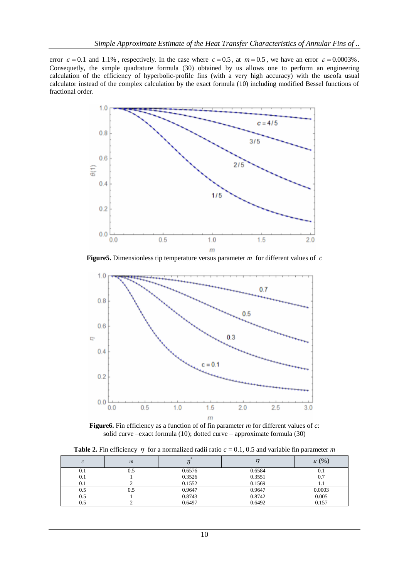error  $\varepsilon = 0.1$  and 1.1%, respectively. In the case where  $c = 0.5$ , at  $m = 0.5$ , we have an error  $\varepsilon = 0.0003\%$ . Consequetly, the simple quadrature formula (30) obtained by us allows one to perform an engineering calculation of the efficiency of hyperbolic-profile fins (with a very high accuracy) with the useofa usual calculator instead of the complex calculation by the exact formula (10) including modified Bessel functions of fractional order.



**Figure5.** Dimensionless tip temperature versus parameter *m* for different values of *c*



**Figure6.** Fin efficiency as a function of of fin parameter *m* for different values of *c*: solid curve –exact formula (10); dotted curve – approximate formula (30)

**Table 2.** Fin efficiency  $\eta$  for a normalized radii ratio  $c = 0.1$ , 0.5 and variable fin parameter *m* 

|     | $\boldsymbol{m}$ |        |        | $\varepsilon$ (%) |
|-----|------------------|--------|--------|-------------------|
| 0.1 | 0.5              | 0.6576 | 0.6584 | U.I               |
| 0.1 |                  | 0.3526 | 0.3551 | 0.7               |
| 0.1 |                  | 0.1552 | 0.1569 |                   |
| 0.5 | 0.5              | 0.9647 | 0.9647 | 0.0003            |
| 0.5 |                  | 0.8743 | 0.8742 | 0.005             |
| 0.5 |                  | 0.6497 | 0.6492 | 0.157             |